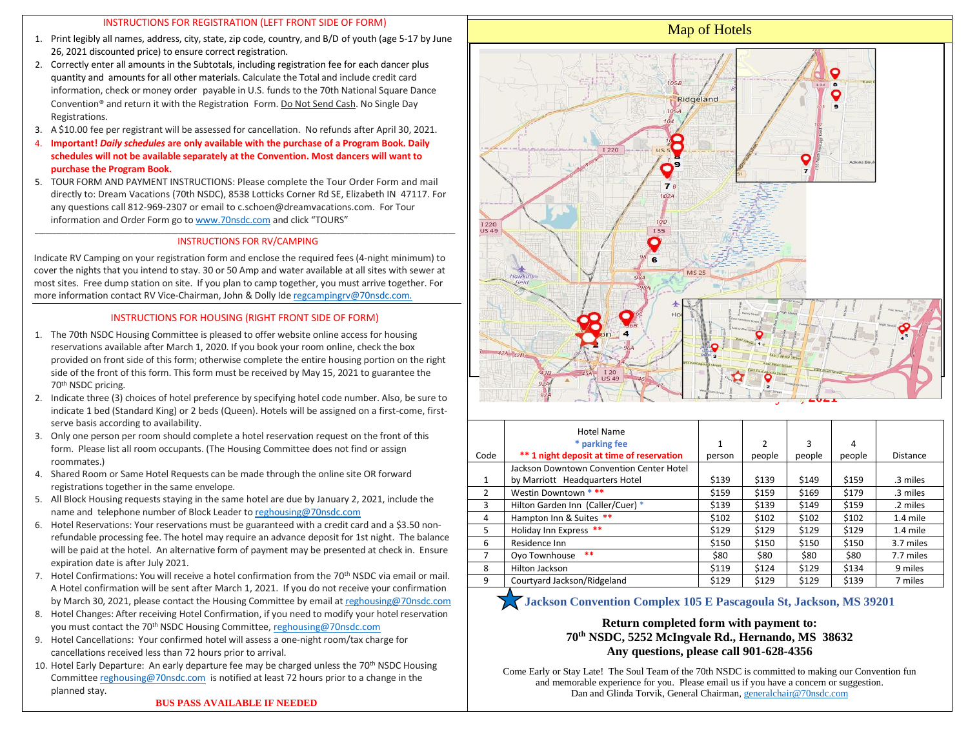#### INSTRUCTIONS FOR REGISTRATION (LEFT FRONT SIDE OF FORM)

- 1. Print legibly all names, address, city, state, zip code, country, and B/D of youth (age 5-17 by June 26, 2021 discounted price) to ensure correct registration.
- 2. Correctly enter all amounts in the Subtotals, including registration fee for each dancer plus quantity and amounts for all other materials. Calculate the Total and include credit card information, check or money order payable in U.S. funds to the 70th National Square Dance Convention® and return it with the Registration Form. Do Not Send Cash. No Single Day Registrations.
- 3. A \$10.00 fee per registrant will be assessed for cancellation. No refunds after April 30, 2021.
- 4. **Important!** *Daily schedules* **are only available with the purchase of a Program Book. Daily schedules will not be available separately at the Convention. Most dancers will want to purchase the Program Book.**
- 5. TOUR FORM AND PAYMENT INSTRUCTIONS: Please complete the Tour Order Form and mail directly to: Dream Vacations (70th NSDC), 8538 Lotticks Corner Rd SE, Elizabeth IN 47117. For any questions call 812-969-2307 or email to c.schoen@dreamvacations.com. For Tour information and Order Form go to [www.70nsdc.com](http://www.70nsdc.com/) and click "TOURS"

#### $-$  . The contribution of the contribution of the contribution of the contribution of  $\mathcal{L}_i$ INSTRUCTIONS FOR RV/CAMPING

Indicate RV Camping on your registration form and enclose the required fees (4-night minimum) to cover the nights that you intend to stay. 30 or 50 Amp and water available at all sites with sewer at most sites. Free dump station on site. If you plan to camp together, you must arrive together. For more information contact RV Vice-Chairman, John & Dolly Ide [regcampingrv@70nsdc.com](mailto:regcampingrv@70nsdc.com.)*.*

### INSTRUCTIONS FOR HOUSING (RIGHT FRONT SIDE OF FORM)

- 1. The 70th NSDC Housing Committee is pleased to offer website online access for housing reservations available after March 1, 2020. If you book your room online, check the box provided on front side of this form; otherwise complete the entire housing portion on the right side of the front of this form. This form must be received by May 15, 2021 to guarantee the 70<sup>th</sup> NSDC pricing.
- 2. Indicate three (3) choices of hotel preference by specifying hotel code number. Also, be sure to indicate 1 bed (Standard King) or 2 beds (Queen). Hotels will be assigned on a first-come, firstserve basis according to availability.
- 3. Only one person per room should complete a hotel reservation request on the front of this form. Please list all room occupants. (The Housing Committee does not find or assign roommates.)
- 4. Shared Room or Same Hotel Requests can be made through the online site OR forward registrations together in the same envelope.
- 5. All Block Housing requests staying in the same hotel are due by January 2, 2021, include the name and telephone number of Block Leader to [reghousing@70nsdc.com](mailto:reghousing@70nsdc.com)
- 6. Hotel Reservations: Your reservations must be guaranteed with a credit card and a \$3.50 nonrefundable processing fee. The hotel may require an advance deposit for 1st night. The balance will be paid at the hotel. An alternative form of payment may be presented at check in. Ensure expiration date is after July 2021.
- 7. Hotel Confirmations: You will receive a hotel confirmation from the 70th NSDC via email or mail. A Hotel confirmation will be sent after March 1, 2021. If you do not receive your confirmation by March 30, 2021, please contact the Housing Committee by email a[t reghousing@70nsdc.com](mailto:reghousing@70nsdc.com)
- 8. Hotel Changes: After receiving Hotel Confirmation, if you need to modify your hotel reservation you must contact the 70<sup>th</sup> NSDC Housing Committee, reghousing @70nsdc.com
- 9. Hotel Cancellations: Your confirmed hotel will assess a one-night room/tax charge for cancellations received less than 72 hours prior to arrival.
- 10. Hotel Early Departure: An early departure fee may be charged unless the 70<sup>th</sup> NSDC Housing Committee [reghousing@70nsdc.com](mailto:reghousing@70nsdc.com) is notified at least 72 hours prior to a change in the planned stay.

**BUS PASS AVAILABLE IF NEEDED**



|                | Hotel Name                                |              |                |        |        |           |
|----------------|-------------------------------------------|--------------|----------------|--------|--------|-----------|
|                | * parking fee                             | $\mathbf{1}$ | $\overline{2}$ | 3      | 4      |           |
| Code           | ** 1 night deposit at time of reservation | person       | people         | people | people | Distance  |
|                | Jackson Downtown Convention Center Hotel  |              |                |        |        |           |
| $\mathbf{1}$   | by Marriott Headquarters Hotel            | \$139        | \$139          | \$149  | \$159  | .3 miles  |
| 2              | Westin Downtown ***                       | \$159        | \$159          | \$169  | \$179  | .3 miles  |
| 3              | Hilton Garden Inn (Caller/Cuer) *         | \$139        | \$139          | \$149  | \$159  | .2 miles  |
| 4              | Hampton Inn & Suites **                   | \$102        | \$102          | \$102  | \$102  | 1.4 mile  |
| 5              | Holiday Inn Express **                    | \$129        | \$129          | \$129  | \$129  | 1.4 mile  |
| 6              | Residence Inn                             | \$150        | \$150          | \$150  | \$150  | 3.7 miles |
| $\overline{7}$ | **<br>Oyo Townhouse                       | \$80         | \$80           | \$80   | \$80   | 7.7 miles |
| 8              | Hilton Jackson                            | \$119        | \$124          | \$129  | \$134  | 9 miles   |
| 9              | Courtyard Jackson/Ridgeland               | \$129        | \$129          | \$129  | \$139  | 7 miles   |

# **Jackson Convention Complex 105 E Pascagoula St, Jackson, MS 39201**

## **Return completed form with payment to: 70th NSDC, 5252 McIngvale Rd., Hernando, MS 38632 Any questions, please call 901-628-4356**

Come Early or Stay Late! The Soul Team of the 70th NSDC is committed to making our Convention fun and memorable experience for you. Please email us if you have a concern or suggestion. Dan and Glinda Torvik, General Chairman[, generalchair@70nsdc.com](generalchair@70nsdc.com)